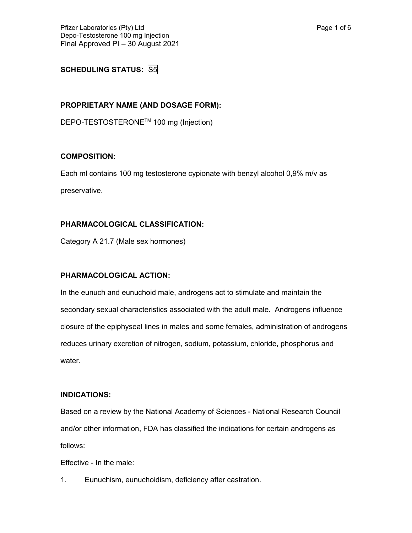# **SCHEDULING STATUS:** S5

## **PROPRIETARY NAME (AND DOSAGE FORM):**

DEPO-TESTOSTERONETM 100 mg (Injection)

### **COMPOSITION:**

Each ml contains 100 mg testosterone cypionate with benzyl alcohol 0,9% m/v as preservative.

## **PHARMACOLOGICAL CLASSIFICATION:**

Category A 21.7 (Male sex hormones)

## **PHARMACOLOGICAL ACTION:**

In the eunuch and eunuchoid male, androgens act to stimulate and maintain the secondary sexual characteristics associated with the adult male. Androgens influence closure of the epiphyseal lines in males and some females, administration of androgens reduces urinary excretion of nitrogen, sodium, potassium, chloride, phosphorus and water.

#### **INDICATIONS:**

Based on a review by the National Academy of Sciences - National Research Council and/or other information, FDA has classified the indications for certain androgens as follows:

Effective - In the male:

1. Eunuchism, eunuchoidism, deficiency after castration.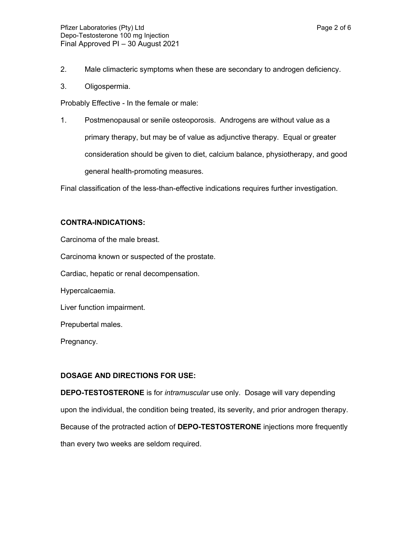- 2. Male climacteric symptoms when these are secondary to androgen deficiency.
- 3. Oligospermia.

Probably Effective - In the female or male:

1. Postmenopausal or senile osteoporosis. Androgens are without value as a primary therapy, but may be of value as adjunctive therapy. Equal or greater consideration should be given to diet, calcium balance, physiotherapy, and good general health-promoting measures.

Final classification of the less-than-effective indications requires further investigation.

#### **CONTRA-INDICATIONS:**

Carcinoma of the male breast.

Carcinoma known or suspected of the prostate.

Cardiac, hepatic or renal decompensation.

Hypercalcaemia.

Liver function impairment.

Prepubertal males.

Pregnancy.

#### **DOSAGE AND DIRECTIONS FOR USE:**

**DEPO-TESTOSTERONE** is for *intramuscular* use only. Dosage will vary depending upon the individual, the condition being treated, its severity, and prior androgen therapy. Because of the protracted action of **DEPO-TESTOSTERONE** injections more frequently than every two weeks are seldom required.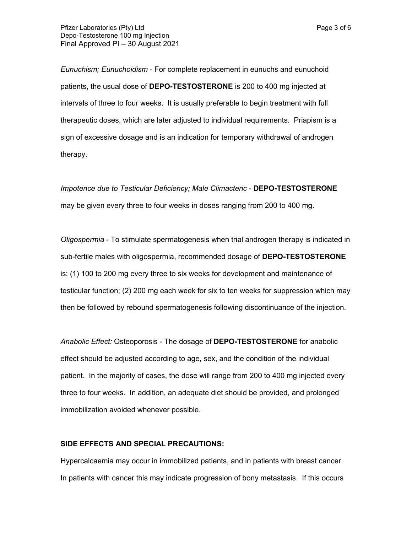*Eunuchism; Eunuchoidism* - For complete replacement in eunuchs and eunuchoid patients, the usual dose of **DEPO-TESTOSTERONE** is 200 to 400 mg injected at intervals of three to four weeks. It is usually preferable to begin treatment with full therapeutic doses, which are later adjusted to individual requirements. Priapism is a sign of excessive dosage and is an indication for temporary withdrawal of androgen therapy.

*Impotence due to Testicular Deficiency; Male Climacteric* - **DEPO-TESTOSTERONE** may be given every three to four weeks in doses ranging from 200 to 400 mg.

*Oligospermia* - To stimulate spermatogenesis when trial androgen therapy is indicated in sub-fertile males with oligospermia, recommended dosage of **DEPO-TESTOSTERONE** is: (1) 100 to 200 mg every three to six weeks for development and maintenance of testicular function; (2) 200 mg each week for six to ten weeks for suppression which may then be followed by rebound spermatogenesis following discontinuance of the injection.

*Anabolic Effect:* Osteoporosis - The dosage of **DEPO-TESTOSTERONE** for anabolic effect should be adjusted according to age, sex, and the condition of the individual patient. In the majority of cases, the dose will range from 200 to 400 mg injected every three to four weeks. In addition, an adequate diet should be provided, and prolonged immobilization avoided whenever possible.

#### **SIDE EFFECTS AND SPECIAL PRECAUTIONS:**

Hypercalcaemia may occur in immobilized patients, and in patients with breast cancer. In patients with cancer this may indicate progression of bony metastasis. If this occurs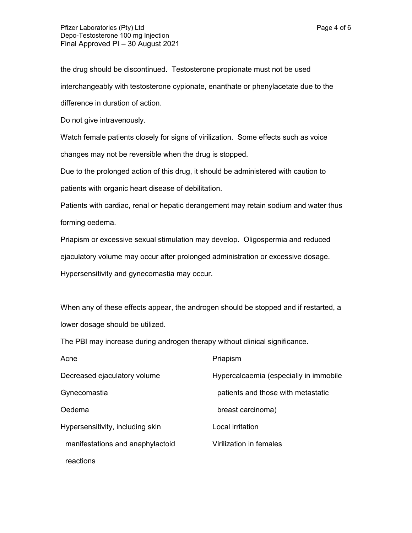the drug should be discontinued. Testosterone propionate must not be used interchangeably with testosterone cypionate, enanthate or phenylacetate due to the difference in duration of action.

Do not give intravenously.

Watch female patients closely for signs of virilization. Some effects such as voice changes may not be reversible when the drug is stopped.

Due to the prolonged action of this drug, it should be administered with caution to patients with organic heart disease of debilitation.

Patients with cardiac, renal or hepatic derangement may retain sodium and water thus forming oedema.

Priapism or excessive sexual stimulation may develop. Oligospermia and reduced ejaculatory volume may occur after prolonged administration or excessive dosage. Hypersensitivity and gynecomastia may occur.

When any of these effects appear, the androgen should be stopped and if restarted, a lower dosage should be utilized.

The PBI may increase during androgen therapy without clinical significance.

| Acne                             | Priapism                               |
|----------------------------------|----------------------------------------|
| Decreased ejaculatory volume     | Hypercalcaemia (especially in immobile |
| Gynecomastia                     | patients and those with metastatic     |
| Oedema                           | breast carcinoma)                      |
| Hypersensitivity, including skin | Local irritation                       |
| manifestations and anaphylactoid | Virilization in females                |
| reactions                        |                                        |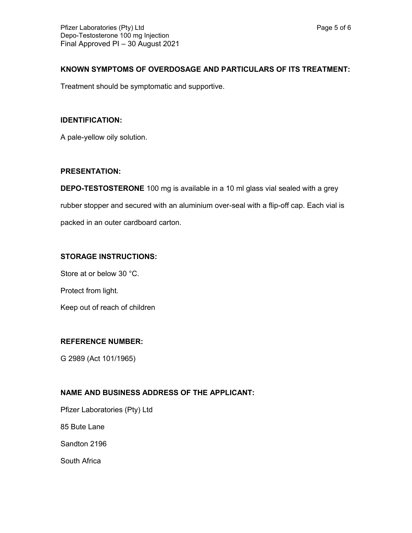## **KNOWN SYMPTOMS OF OVERDOSAGE AND PARTICULARS OF ITS TREATMENT:**

Treatment should be symptomatic and supportive.

## **IDENTIFICATION:**

A pale-yellow oily solution.

## **PRESENTATION:**

**DEPO-TESTOSTERONE** 100 mg is available in a 10 ml glass vial sealed with a grey rubber stopper and secured with an aluminium over-seal with a flip-off cap. Each vial is packed in an outer cardboard carton.

# **STORAGE INSTRUCTIONS:**

Store at or below 30 °C.

Protect from light.

Keep out of reach of children

## **REFERENCE NUMBER:**

G 2989 (Act 101/1965)

# **NAME AND BUSINESS ADDRESS OF THE APPLICANT:**

Pfizer Laboratories (Pty) Ltd

85 Bute Lane

Sandton 2196

South Africa